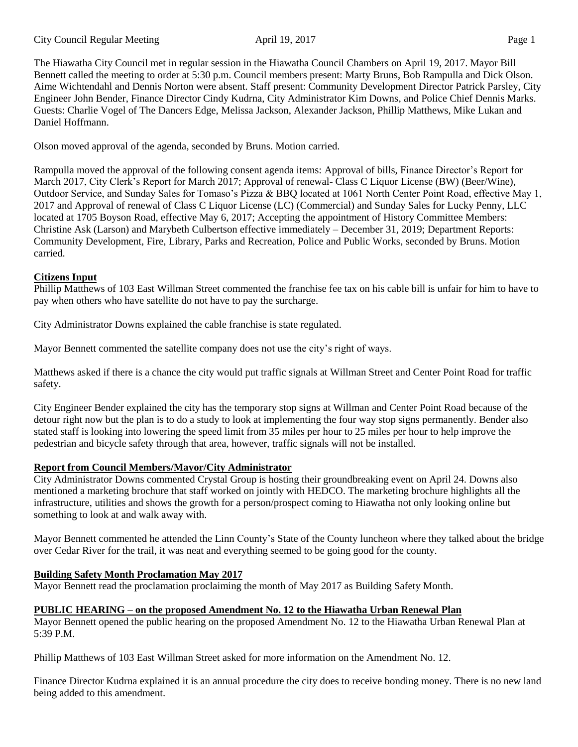The Hiawatha City Council met in regular session in the Hiawatha Council Chambers on April 19, 2017. Mayor Bill Bennett called the meeting to order at 5:30 p.m. Council members present: Marty Bruns, Bob Rampulla and Dick Olson. Aime Wichtendahl and Dennis Norton were absent. Staff present: Community Development Director Patrick Parsley, City Engineer John Bender, Finance Director Cindy Kudrna, City Administrator Kim Downs, and Police Chief Dennis Marks. Guests: Charlie Vogel of The Dancers Edge, Melissa Jackson, Alexander Jackson, Phillip Matthews, Mike Lukan and Daniel Hoffmann.

Olson moved approval of the agenda, seconded by Bruns. Motion carried.

Rampulla moved the approval of the following consent agenda items: Approval of bills, Finance Director's Report for March 2017, City Clerk's Report for March 2017; Approval of renewal- Class C Liquor License (BW) (Beer/Wine), Outdoor Service, and Sunday Sales for Tomaso's Pizza & BBQ located at 1061 North Center Point Road, effective May 1, 2017 and Approval of renewal of Class C Liquor License (LC) (Commercial) and Sunday Sales for Lucky Penny, LLC located at 1705 Boyson Road, effective May 6, 2017; Accepting the appointment of History Committee Members: Christine Ask (Larson) and Marybeth Culbertson effective immediately – December 31, 2019; Department Reports: Community Development, Fire, Library, Parks and Recreation, Police and Public Works, seconded by Bruns. Motion carried.

# **Citizens Input**

Phillip Matthews of 103 East Willman Street commented the franchise fee tax on his cable bill is unfair for him to have to pay when others who have satellite do not have to pay the surcharge.

City Administrator Downs explained the cable franchise is state regulated.

Mayor Bennett commented the satellite company does not use the city's right of ways.

Matthews asked if there is a chance the city would put traffic signals at Willman Street and Center Point Road for traffic safety.

City Engineer Bender explained the city has the temporary stop signs at Willman and Center Point Road because of the detour right now but the plan is to do a study to look at implementing the four way stop signs permanently. Bender also stated staff is looking into lowering the speed limit from 35 miles per hour to 25 miles per hour to help improve the pedestrian and bicycle safety through that area, however, traffic signals will not be installed.

# **Report from Council Members/Mayor/City Administrator**

City Administrator Downs commented Crystal Group is hosting their groundbreaking event on April 24. Downs also mentioned a marketing brochure that staff worked on jointly with HEDCO. The marketing brochure highlights all the infrastructure, utilities and shows the growth for a person/prospect coming to Hiawatha not only looking online but something to look at and walk away with.

Mayor Bennett commented he attended the Linn County's State of the County luncheon where they talked about the bridge over Cedar River for the trail, it was neat and everything seemed to be going good for the county.

# **Building Safety Month Proclamation May 2017**

Mayor Bennett read the proclamation proclaiming the month of May 2017 as Building Safety Month.

#### **PUBLIC HEARING – on the proposed Amendment No. 12 to the Hiawatha Urban Renewal Plan**

Mayor Bennett opened the public hearing on the proposed Amendment No. 12 to the Hiawatha Urban Renewal Plan at 5:39 P.M.

Phillip Matthews of 103 East Willman Street asked for more information on the Amendment No. 12.

Finance Director Kudrna explained it is an annual procedure the city does to receive bonding money. There is no new land being added to this amendment.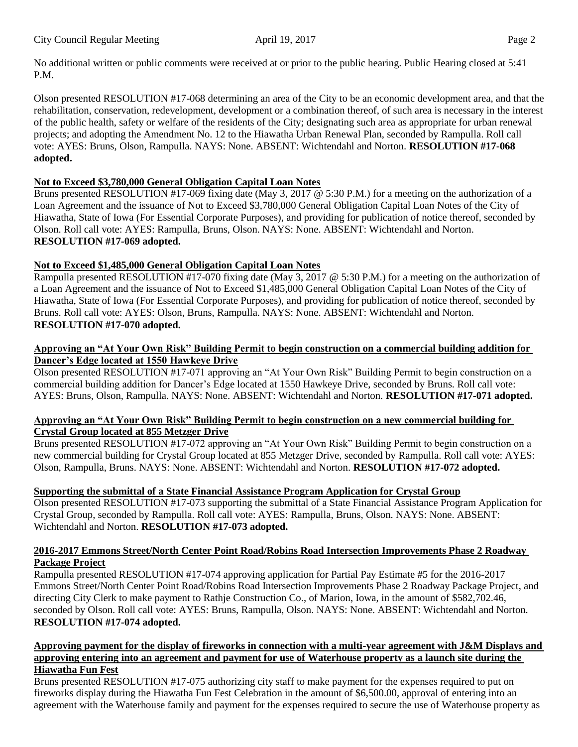No additional written or public comments were received at or prior to the public hearing. Public Hearing closed at 5:41 P.M.

Olson presented RESOLUTION #17-068 determining an area of the City to be an economic development area, and that the rehabilitation, conservation, redevelopment, development or a combination thereof, of such area is necessary in the interest of the public health, safety or welfare of the residents of the City; designating such area as appropriate for urban renewal projects; and adopting the Amendment No. 12 to the Hiawatha Urban Renewal Plan, seconded by Rampulla. Roll call vote: AYES: Bruns, Olson, Rampulla. NAYS: None. ABSENT: Wichtendahl and Norton. **RESOLUTION #17-068 adopted.**

### **Not to Exceed \$3,780,000 General Obligation Capital Loan Notes**

Bruns presented RESOLUTION #17-069 fixing date (May 3, 2017  $\overline{\omega}$  5:30 P.M.) for a meeting on the authorization of a Loan Agreement and the issuance of Not to Exceed \$3,780,000 General Obligation Capital Loan Notes of the City of Hiawatha, State of Iowa (For Essential Corporate Purposes), and providing for publication of notice thereof, seconded by Olson. Roll call vote: AYES: Rampulla, Bruns, Olson. NAYS: None. ABSENT: Wichtendahl and Norton. **RESOLUTION #17-069 adopted.** 

# **Not to Exceed \$1,485,000 General Obligation Capital Loan Notes**

Rampulla presented RESOLUTION #17-070 fixing date (May 3, 2017 @ 5:30 P.M.) for a meeting on the authorization of a Loan Agreement and the issuance of Not to Exceed \$1,485,000 General Obligation Capital Loan Notes of the City of Hiawatha, State of Iowa (For Essential Corporate Purposes), and providing for publication of notice thereof, seconded by Bruns. Roll call vote: AYES: Olson, Bruns, Rampulla. NAYS: None. ABSENT: Wichtendahl and Norton. **RESOLUTION #17-070 adopted.** 

#### **Approving an "At Your Own Risk" Building Permit to begin construction on a commercial building addition for Dancer's Edge located at 1550 Hawkeye Drive**

Olson presented RESOLUTION #17-071 approving an "At Your Own Risk" Building Permit to begin construction on a commercial building addition for Dancer's Edge located at 1550 Hawkeye Drive, seconded by Bruns. Roll call vote: AYES: Bruns, Olson, Rampulla. NAYS: None. ABSENT: Wichtendahl and Norton. **RESOLUTION #17-071 adopted.** 

# **Approving an "At Your Own Risk" Building Permit to begin construction on a new commercial building for Crystal Group located at 855 Metzger Drive**

Bruns presented RESOLUTION #17-072 approving an "At Your Own Risk" Building Permit to begin construction on a new commercial building for Crystal Group located at 855 Metzger Drive, seconded by Rampulla. Roll call vote: AYES: Olson, Rampulla, Bruns. NAYS: None. ABSENT: Wichtendahl and Norton. **RESOLUTION #17-072 adopted.** 

# **Supporting the submittal of a State Financial Assistance Program Application for Crystal Group**

Olson presented RESOLUTION #17-073 supporting the submittal of a State Financial Assistance Program Application for Crystal Group, seconded by Rampulla. Roll call vote: AYES: Rampulla, Bruns, Olson. NAYS: None. ABSENT: Wichtendahl and Norton. **RESOLUTION #17-073 adopted.** 

### **2016-2017 Emmons Street/North Center Point Road/Robins Road Intersection Improvements Phase 2 Roadway Package Project**

Rampulla presented RESOLUTION #17-074 approving application for Partial Pay Estimate #5 for the 2016-2017 Emmons Street/North Center Point Road/Robins Road Intersection Improvements Phase 2 Roadway Package Project, and directing City Clerk to make payment to Rathje Construction Co., of Marion, Iowa, in the amount of \$582,702.46, seconded by Olson. Roll call vote: AYES: Bruns, Rampulla, Olson. NAYS: None. ABSENT: Wichtendahl and Norton. **RESOLUTION #17-074 adopted.** 

### **Approving payment for the display of fireworks in connection with a multi-year agreement with J&M Displays and approving entering into an agreement and payment for use of Waterhouse property as a launch site during the Hiawatha Fun Fest**

Bruns presented RESOLUTION #17-075 authorizing city staff to make payment for the expenses required to put on fireworks display during the Hiawatha Fun Fest Celebration in the amount of \$6,500.00, approval of entering into an agreement with the Waterhouse family and payment for the expenses required to secure the use of Waterhouse property as